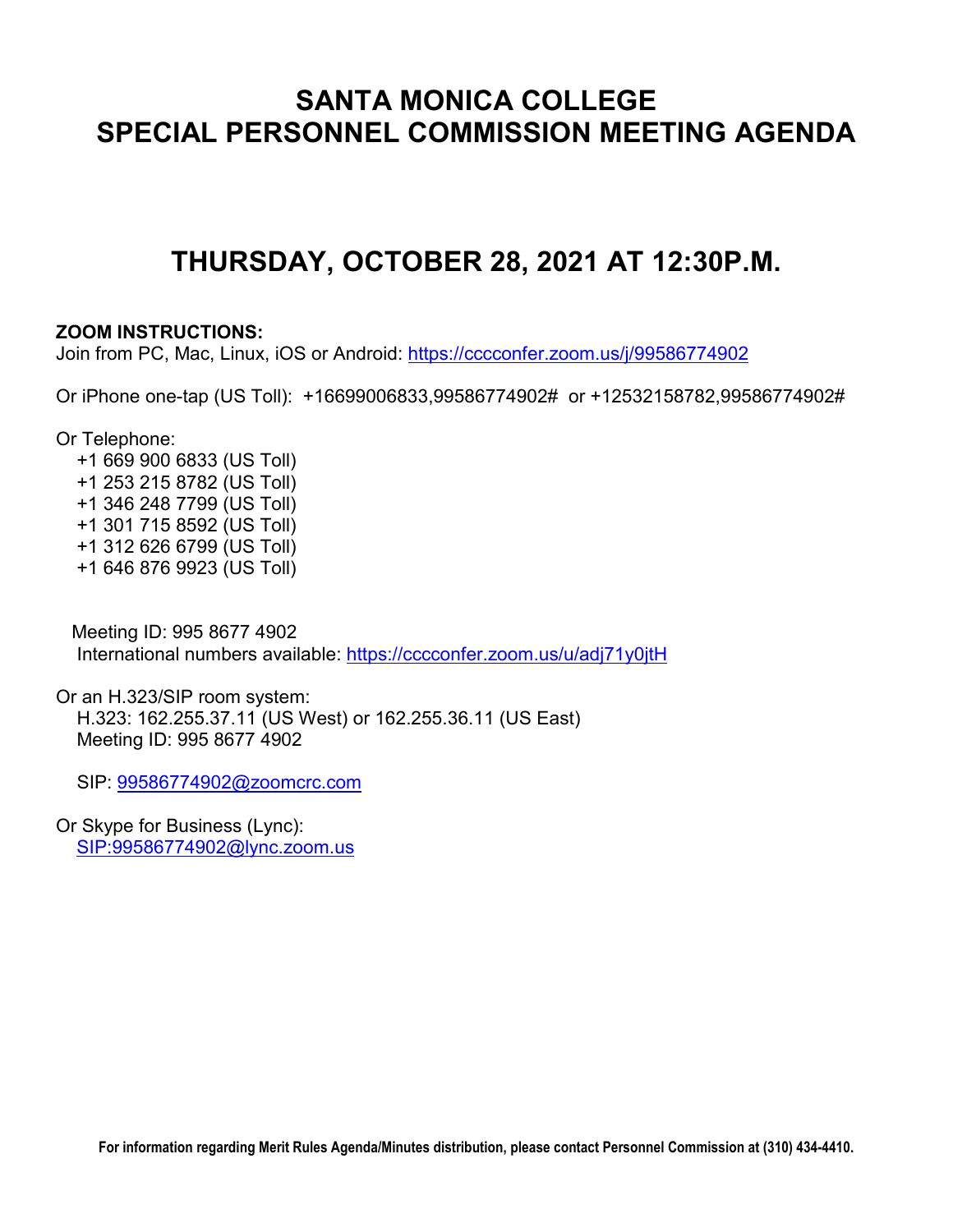# **SANTA MONICA COLLEGE SPECIAL PERSONNEL COMMISSION MEETING AGENDA**

# **THURSDAY, OCTOBER 28, 2021 AT 12:30P.M.**

### **ZOOM INSTRUCTIONS:**

Join from PC, Mac, Linux, iOS or Android:<https://cccconfer.zoom.us/j/99586774902>

Or iPhone one-tap (US Toll): +16699006833,99586774902# or +12532158782,99586774902#

Or Telephone:

 +1 669 900 6833 (US Toll) +1 253 215 8782 (US Toll) +1 346 248 7799 (US Toll) +1 301 715 8592 (US Toll) +1 312 626 6799 (US Toll) +1 646 876 9923 (US Toll)

 Meeting ID: 995 8677 4902 International numbers available:<https://cccconfer.zoom.us/u/adj71y0jtH>

Or an H.323/SIP room system: H.323: 162.255.37.11 (US West) or 162.255.36.11 (US East) Meeting ID: 995 8677 4902

SIP: [99586774902@zoomcrc.com](mailto:99586774902@zoomcrc.com)

Or Skype for Business (Lync): [SIP:99586774902@lync.zoom.us](sip:99586774902@lync.zoom.us)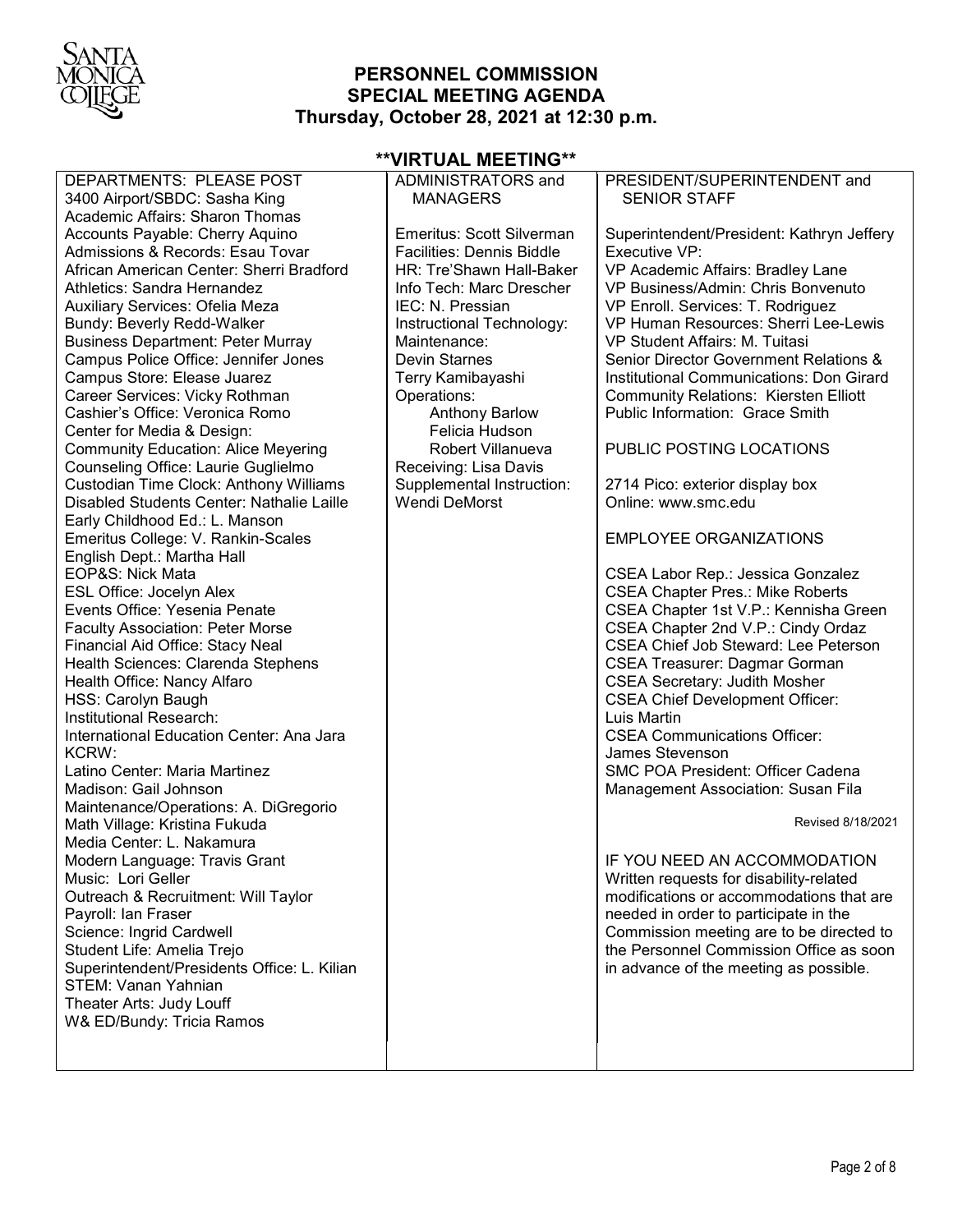

### **PERSONNEL COMMISSION SPECIAL MEETING AGENDA Thursday, October 28, 2021 at 12:30 p.m.**

DEPARTMENTS: PLEASE POST 3400 Airport/SBDC: Sasha King Academic Affairs: Sharon Thomas Accounts Payable: Cherry Aquino Admissions & Records: Esau Tovar African American Center: Sherri Bradford Athletics: Sandra Hernandez Auxiliary Services: Ofelia Meza Bundy: Beverly Redd-Walker Business Department: Peter Murray Campus Police Office: Jennifer Jones Campus Store: Elease Juarez Career Services: Vicky Rothman Cashier's Office: Veronica Romo Center for Media & Design: Community Education: Alice Meyering Counseling Office: Laurie Guglielmo Custodian Time Clock: Anthony Williams Disabled Students Center: Nathalie Laille Early Childhood Ed.: L. Manson Emeritus College: V. Rankin-Scales English Dept.: Martha Hall EOP&S: Nick Mata ESL Office: Jocelyn Alex Events Office: Yesenia Penate Faculty Association: Peter Morse Financial Aid Office: Stacy Neal Health Sciences: Clarenda Stephens Health Office: Nancy Alfaro HSS: Carolyn Baugh Institutional Research: International Education Center: Ana Jara KCRW: Latino Center: Maria Martinez Madison: Gail Johnson Maintenance/Operations: A. DiGregorio Math Village: Kristina Fukuda Media Center: L. Nakamura Modern Language: Travis Grant Music: Lori Geller Outreach & Recruitment: Will Taylor Payroll: Ian Fraser Science: Ingrid Cardwell Student Life: Amelia Trejo Superintendent/Presidents Office: L. Kilian STEM: Vanan Yahnian Theater Arts: Judy Louff W& ED/Bundy: Tricia Ramos

#### **\*\*VIRTUAL MEETING\*\*** ADMINISTRATORS and

MANAGERS

| Emeritus: Scott Silverman<br><b>Facilities: Dennis Biddle</b><br>HR: Tre'Shawn Hall-Baker<br>Info Tech: Marc Drescher<br>IEC: N. Pressian<br>Instructional Technology:<br>Maintenance:<br><b>Devin Starnes</b><br>Terry Kamibayashi<br>Operations:<br><b>Anthony Barlow</b><br>Felicia Hudson | Superintendent/President: Kathryn Jeffery<br>Executive VP:<br>VP Academic Affairs: Bradley Lane<br>VP Business/Admin: Chris Bonvenuto<br>VP Enroll. Services: T. Rodriguez<br>VP Human Resources: Sherri Lee-Lewis<br>VP Student Affairs: M. Tuitasi<br>Senior Director Government Relations &<br>Institutional Communications: Don Girard<br><b>Community Relations: Kiersten Elliott</b><br>Public Information: Grace Smith                                                                                        |
|-----------------------------------------------------------------------------------------------------------------------------------------------------------------------------------------------------------------------------------------------------------------------------------------------|----------------------------------------------------------------------------------------------------------------------------------------------------------------------------------------------------------------------------------------------------------------------------------------------------------------------------------------------------------------------------------------------------------------------------------------------------------------------------------------------------------------------|
| Robert Villanueva<br>Receiving: Lisa Davis                                                                                                                                                                                                                                                    | PUBLIC POSTING LOCATIONS                                                                                                                                                                                                                                                                                                                                                                                                                                                                                             |
| Supplemental Instruction:<br><b>Wendi DeMorst</b>                                                                                                                                                                                                                                             | 2714 Pico: exterior display box<br>Online: www.smc.edu                                                                                                                                                                                                                                                                                                                                                                                                                                                               |
|                                                                                                                                                                                                                                                                                               | <b>EMPLOYEE ORGANIZATIONS</b>                                                                                                                                                                                                                                                                                                                                                                                                                                                                                        |
|                                                                                                                                                                                                                                                                                               | CSEA Labor Rep.: Jessica Gonzalez<br><b>CSEA Chapter Pres.: Mike Roberts</b><br>CSEA Chapter 1st V.P.: Kennisha Green<br>CSEA Chapter 2nd V.P.: Cindy Ordaz<br><b>CSEA Chief Job Steward: Lee Peterson</b><br><b>CSEA Treasurer: Dagmar Gorman</b><br><b>CSEA Secretary: Judith Mosher</b><br><b>CSEA Chief Development Officer:</b><br>Luis Martin<br><b>CSEA Communications Officer:</b><br>James Stevenson<br><b>SMC POA President: Officer Cadena</b><br>Management Association: Susan Fila<br>Revised 8/18/2021 |
|                                                                                                                                                                                                                                                                                               |                                                                                                                                                                                                                                                                                                                                                                                                                                                                                                                      |
|                                                                                                                                                                                                                                                                                               | IF YOU NEED AN ACCOMMODATION<br>Written requests for disability-related<br>modifications or accommodations that are<br>needed in order to participate in the<br>Commission meeting are to be directed to<br>the Personnel Commission Office as soon<br>in advance of the meeting as possible.                                                                                                                                                                                                                        |

PRESIDENT/SUPERINTENDENT and

SENIOR STAFF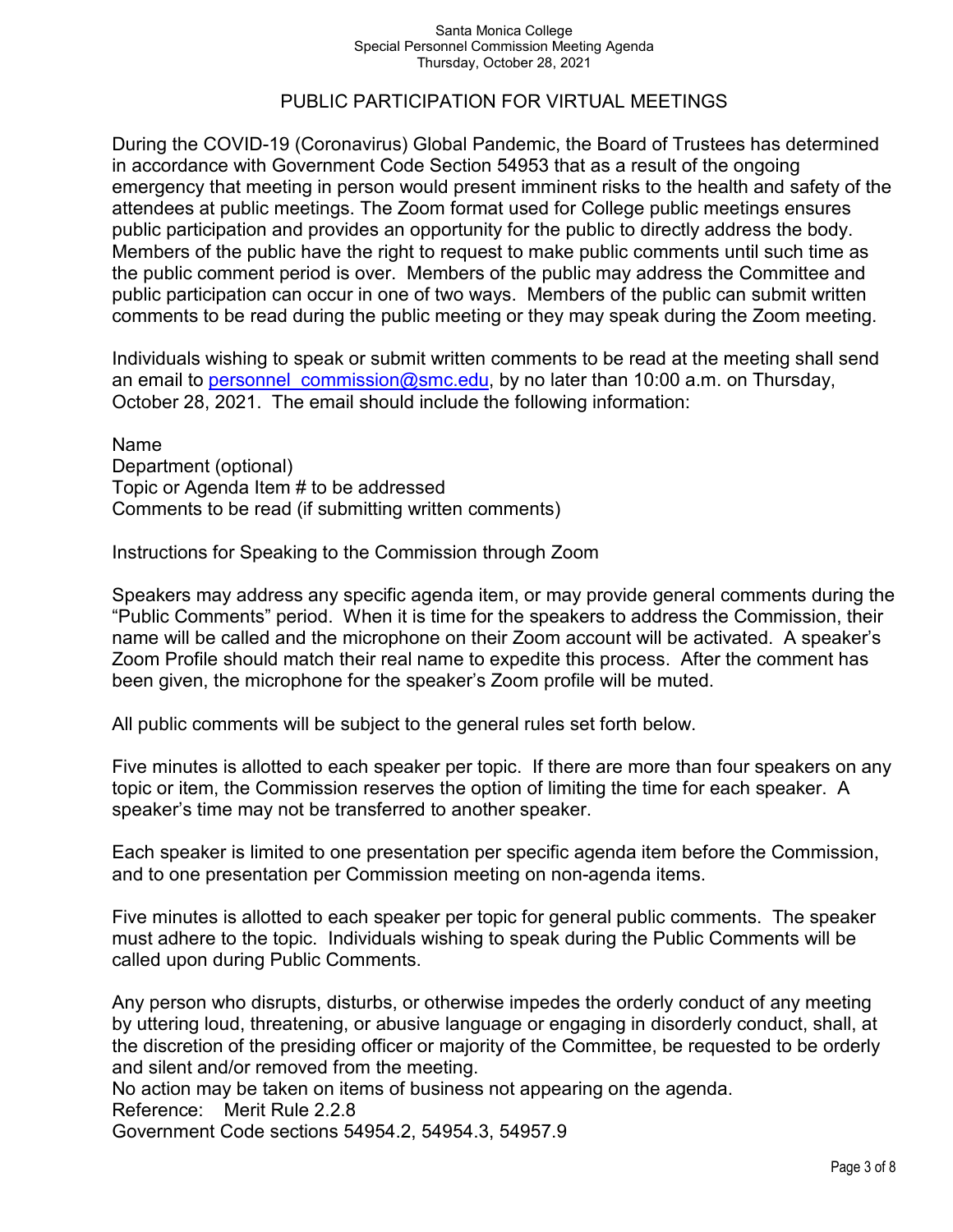### PUBLIC PARTICIPATION FOR VIRTUAL MEETINGS

During the COVID-19 (Coronavirus) Global Pandemic, the Board of Trustees has determined in accordance with Government Code Section 54953 that as a result of the ongoing emergency that meeting in person would present imminent risks to the health and safety of the attendees at public meetings. The Zoom format used for College public meetings ensures public participation and provides an opportunity for the public to directly address the body. Members of the public have the right to request to make public comments until such time as the public comment period is over. Members of the public may address the Committee and public participation can occur in one of two ways. Members of the public can submit written comments to be read during the public meeting or they may speak during the Zoom meeting.

Individuals wishing to speak or submit written comments to be read at the meeting shall send an email to personnel commission@smc.edu, by no later than 10:00 a.m. on Thursday, October 28, 2021. The email should include the following information:

Name Department (optional) Topic or Agenda Item # to be addressed Comments to be read (if submitting written comments)

Instructions for Speaking to the Commission through Zoom

Speakers may address any specific agenda item, or may provide general comments during the "Public Comments" period. When it is time for the speakers to address the Commission, their name will be called and the microphone on their Zoom account will be activated. A speaker's Zoom Profile should match their real name to expedite this process. After the comment has been given, the microphone for the speaker's Zoom profile will be muted.

All public comments will be subject to the general rules set forth below.

Five minutes is allotted to each speaker per topic. If there are more than four speakers on any topic or item, the Commission reserves the option of limiting the time for each speaker. A speaker's time may not be transferred to another speaker.

Each speaker is limited to one presentation per specific agenda item before the Commission, and to one presentation per Commission meeting on non-agenda items.

Five minutes is allotted to each speaker per topic for general public comments. The speaker must adhere to the topic. Individuals wishing to speak during the Public Comments will be called upon during Public Comments.

Any person who disrupts, disturbs, or otherwise impedes the orderly conduct of any meeting by uttering loud, threatening, or abusive language or engaging in disorderly conduct, shall, at the discretion of the presiding officer or majority of the Committee, be requested to be orderly and silent and/or removed from the meeting.

No action may be taken on items of business not appearing on the agenda.

Reference: Merit Rule 2.2.8

Government Code sections 54954.2, 54954.3, 54957.9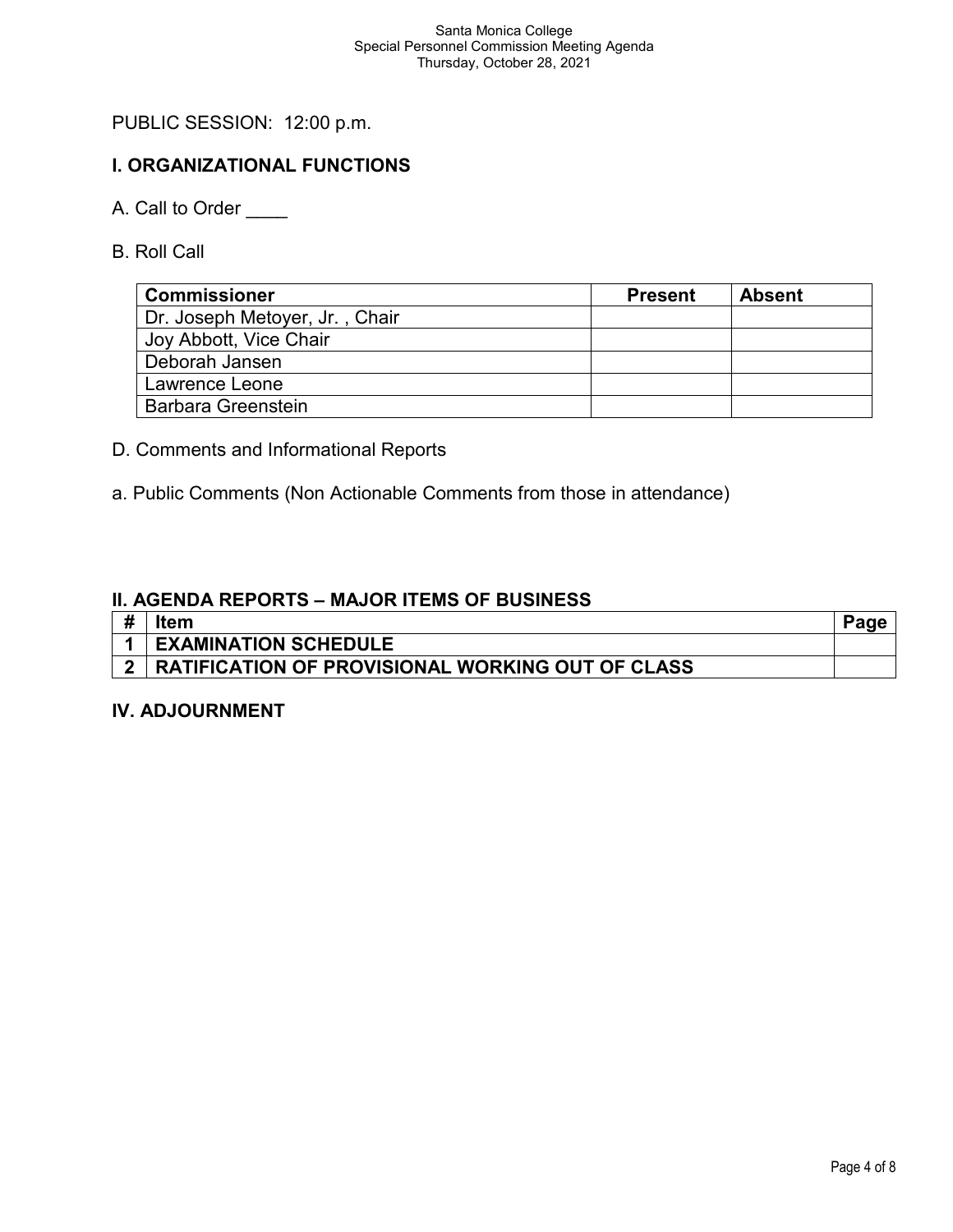# PUBLIC SESSION: 12:00 p.m.

# **I. ORGANIZATIONAL FUNCTIONS**

- A. Call to Order
- B. Roll Call

| <b>Commissioner</b>            | <b>Present</b> | <b>Absent</b> |
|--------------------------------|----------------|---------------|
| Dr. Joseph Metoyer, Jr., Chair |                |               |
| Joy Abbott, Vice Chair         |                |               |
| Deborah Jansen                 |                |               |
| Lawrence Leone                 |                |               |
| <b>Barbara Greenstein</b>      |                |               |

- D. Comments and Informational Reports
- a. Public Comments (Non Actionable Comments from those in attendance)

### **II. AGENDA REPORTS – MAJOR ITEMS OF BUSINESS**

| # | ltem                                                    |  |
|---|---------------------------------------------------------|--|
|   | <b>EXAMINATION SCHEDULE</b>                             |  |
|   | <b>RATIFICATION OF PROVISIONAL WORKING OUT OF CLASS</b> |  |

### **IV. ADJOURNMENT**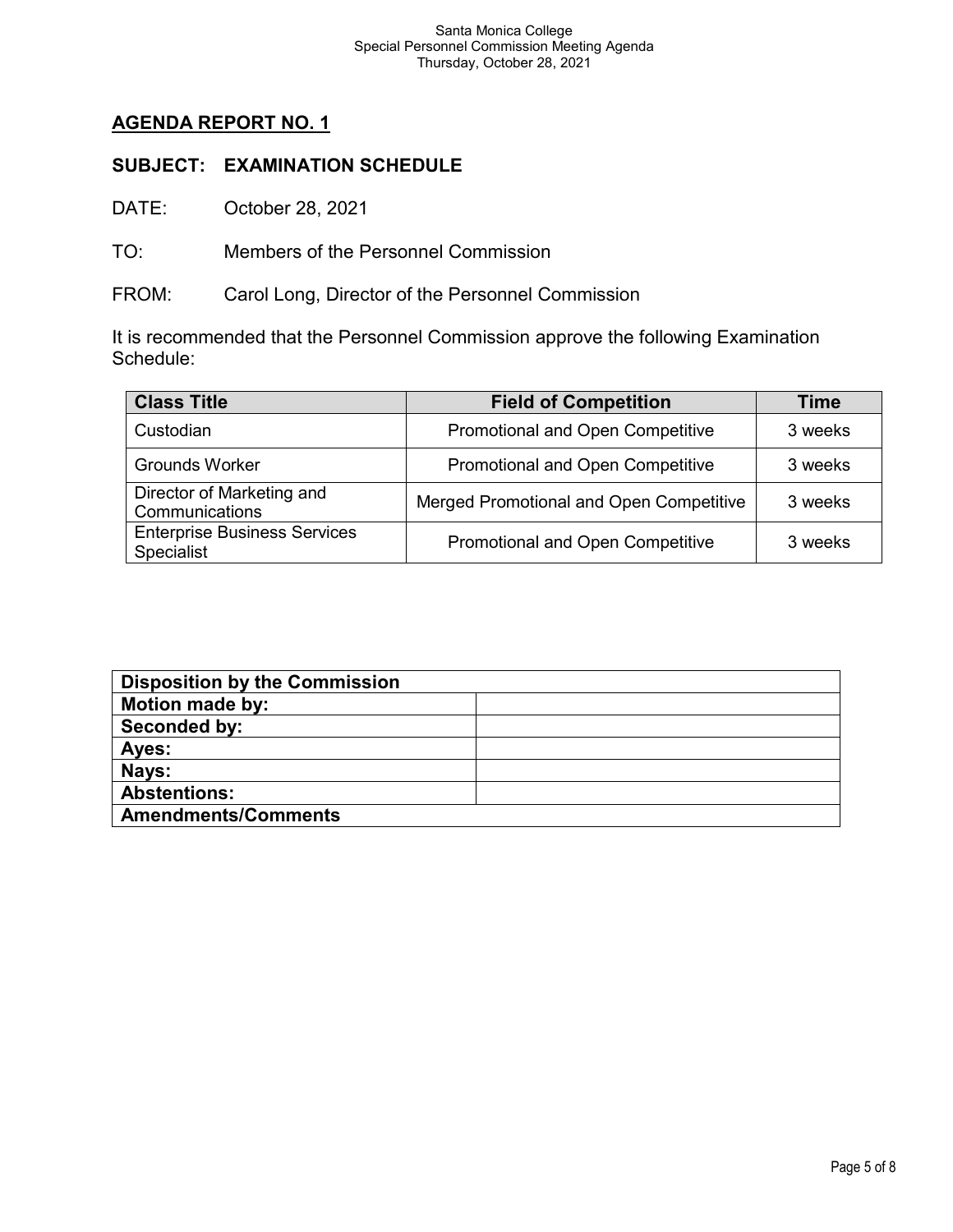# **AGENDA REPORT NO. 1**

### **SUBJECT: EXAMINATION SCHEDULE**

DATE: October 28, 2021

TO: Members of the Personnel Commission

FROM: Carol Long, Director of the Personnel Commission

It is recommended that the Personnel Commission approve the following Examination Schedule:

| <b>Class Title</b>                                | <b>Field of Competition</b>             | Time    |
|---------------------------------------------------|-----------------------------------------|---------|
| Custodian                                         | Promotional and Open Competitive        | 3 weeks |
| <b>Grounds Worker</b>                             | <b>Promotional and Open Competitive</b> | 3 weeks |
| Director of Marketing and<br>Communications       | Merged Promotional and Open Competitive | 3 weeks |
| <b>Enterprise Business Services</b><br>Specialist | Promotional and Open Competitive        | 3 weeks |

| <b>Disposition by the Commission</b> |  |  |
|--------------------------------------|--|--|
| <b>Motion made by:</b>               |  |  |
| Seconded by:                         |  |  |
| Ayes:                                |  |  |
| Nays:                                |  |  |
| <b>Abstentions:</b>                  |  |  |
| <b>Amendments/Comments</b>           |  |  |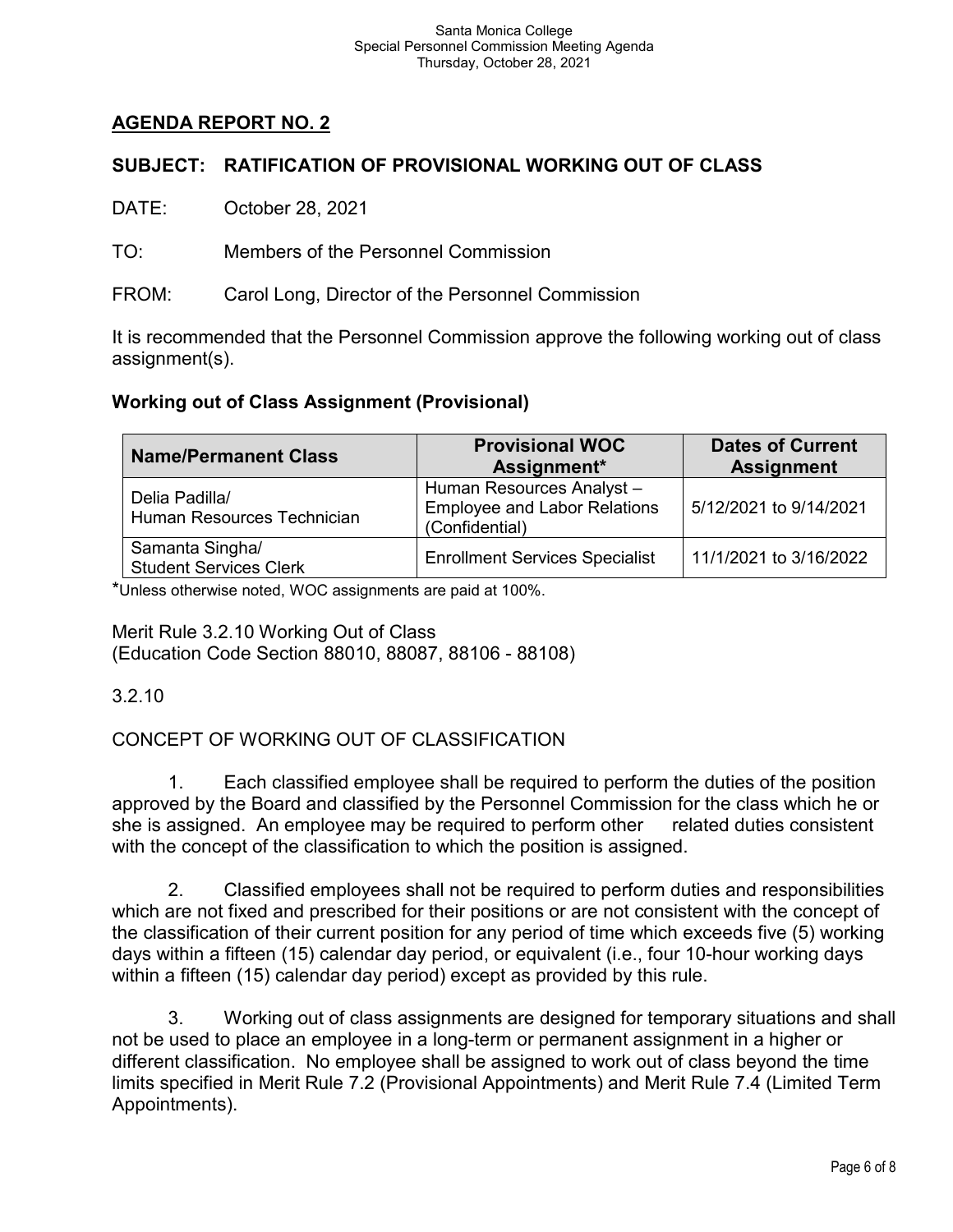# **AGENDA REPORT NO. 2**

# **SUBJECT: RATIFICATION OF PROVISIONAL WORKING OUT OF CLASS**

DATE: October 28, 2021

TO: Members of the Personnel Commission

FROM: Carol Long, Director of the Personnel Commission

It is recommended that the Personnel Commission approve the following working out of class assignment(s).

# **Working out of Class Assignment (Provisional)**

| <b>Name/Permanent Class</b>                      | <b>Provisional WOC</b><br>Assignment*                                             | <b>Dates of Current</b><br><b>Assignment</b> |  |
|--------------------------------------------------|-----------------------------------------------------------------------------------|----------------------------------------------|--|
| Delia Padilla/<br>Human Resources Technician     | Human Resources Analyst-<br><b>Employee and Labor Relations</b><br>(Confidential) | 5/12/2021 to 9/14/2021                       |  |
| Samanta Singha/<br><b>Student Services Clerk</b> | <b>Enrollment Services Specialist</b>                                             | 11/1/2021 to 3/16/2022                       |  |

\*Unless otherwise noted, WOC assignments are paid at 100%.

Merit Rule 3.2.10 Working Out of Class (Education Code Section 88010, 88087, 88106 - 88108)

3.2.10

CONCEPT OF WORKING OUT OF CLASSIFICATION

1. Each classified employee shall be required to perform the duties of the position approved by the Board and classified by the Personnel Commission for the class which he or she is assigned. An employee may be required to perform other related duties consistent with the concept of the classification to which the position is assigned.

2. Classified employees shall not be required to perform duties and responsibilities which are not fixed and prescribed for their positions or are not consistent with the concept of the classification of their current position for any period of time which exceeds five (5) working days within a fifteen (15) calendar day period, or equivalent (i.e., four 10-hour working days within a fifteen (15) calendar day period) except as provided by this rule.

3. Working out of class assignments are designed for temporary situations and shall not be used to place an employee in a long-term or permanent assignment in a higher or different classification. No employee shall be assigned to work out of class beyond the time limits specified in Merit Rule 7.2 (Provisional Appointments) and Merit Rule 7.4 (Limited Term Appointments).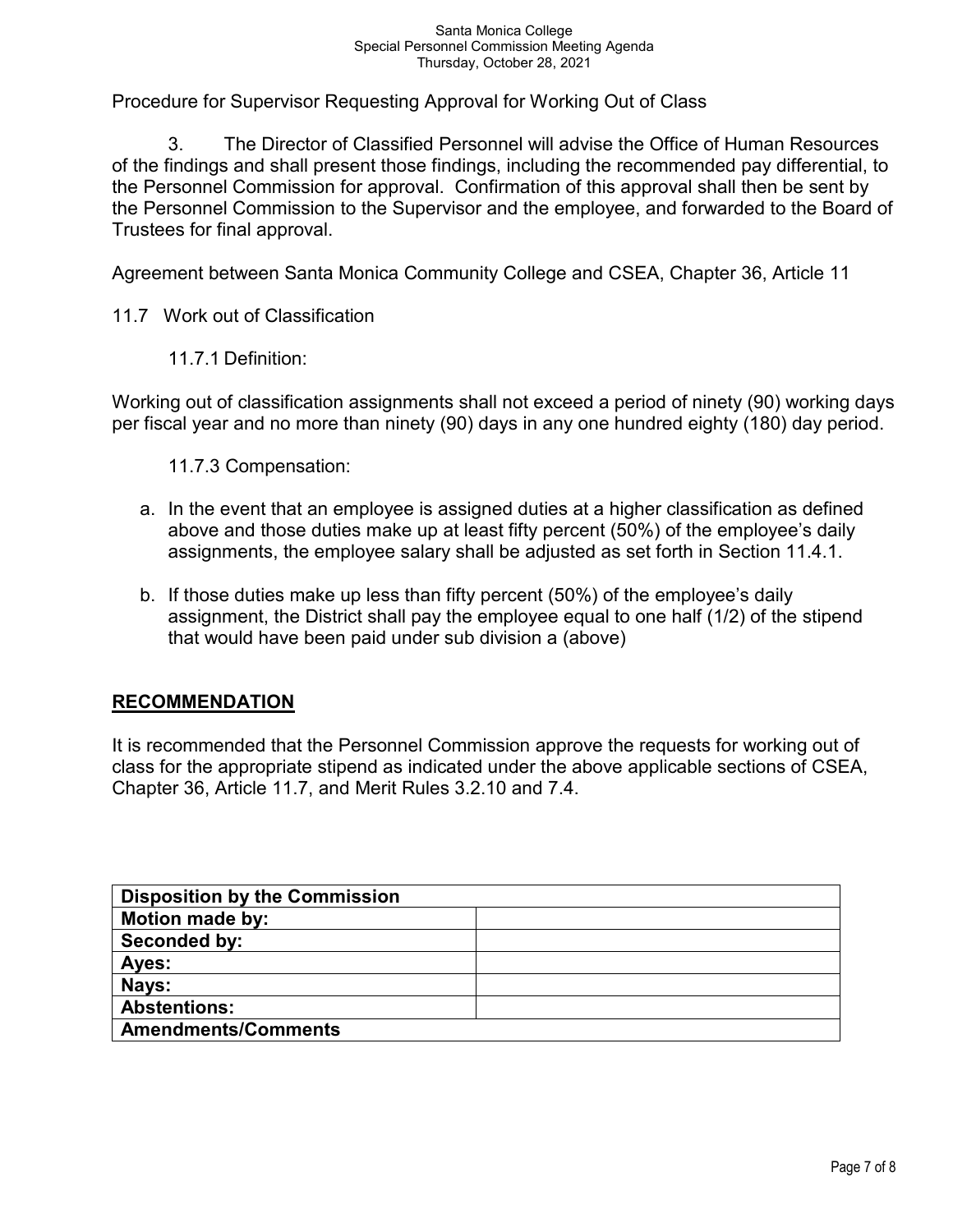Procedure for Supervisor Requesting Approval for Working Out of Class

3. The Director of Classified Personnel will advise the Office of Human Resources of the findings and shall present those findings, including the recommended pay differential, to the Personnel Commission for approval. Confirmation of this approval shall then be sent by the Personnel Commission to the Supervisor and the employee, and forwarded to the Board of Trustees for final approval.

Agreement between Santa Monica Community College and CSEA, Chapter 36, Article 11

11.7 Work out of Classification

11.7.1 Definition:

Working out of classification assignments shall not exceed a period of ninety (90) working days per fiscal year and no more than ninety (90) days in any one hundred eighty (180) day period.

11.7.3 Compensation:

- a. In the event that an employee is assigned duties at a higher classification as defined above and those duties make up at least fifty percent (50%) of the employee's daily assignments, the employee salary shall be adjusted as set forth in Section 11.4.1.
- b. If those duties make up less than fifty percent (50%) of the employee's daily assignment, the District shall pay the employee equal to one half (1/2) of the stipend that would have been paid under sub division a (above)

### **RECOMMENDATION**

It is recommended that the Personnel Commission approve the requests for working out of class for the appropriate stipend as indicated under the above applicable sections of CSEA, Chapter 36, Article 11.7, and Merit Rules 3.2.10 and 7.4.

| <b>Disposition by the Commission</b> |  |
|--------------------------------------|--|
| <b>Motion made by:</b>               |  |
| Seconded by:                         |  |
| Ayes:                                |  |
| Nays:                                |  |
| <b>Abstentions:</b>                  |  |
| <b>Amendments/Comments</b>           |  |